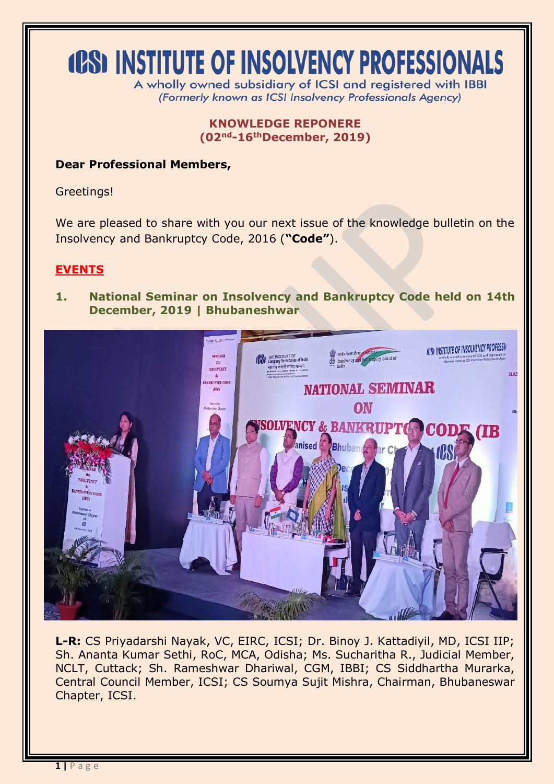# **(OS) INSTITUTE OF INSOLVENCY PROFESSIONALS**

A wholly owned subsidiary of ICSI and registered with IBBI (Formerly known as ICSI Insolvency Professionals Agency)

> **KNOWLEDGE REPONERE (02nd-16thDecember, 2019)**

### **Dear Professional Members,**

Greetings!

We are pleased to share with you our next issue of the knowledge bulletin on the Insolvency and Bankruptcy Code, 2016 (**"Code"**).

#### **EVENTS**

**1. National Seminar on Insolvency and Bankruptcy Code held on 14th December, 2019 | Bhubaneshwar**



**L-R:** CS Priyadarshi Nayak, VC, EIRC, ICSI; Dr. Binoy J. Kattadiyil, MD, ICSI IIP; Sh. Ananta Kumar Sethi, RoC, MCA, Odisha; Ms. Sucharitha R., Judicial Member, NCLT, Cuttack; Sh. Rameshwar Dhariwal, CGM, IBBI; CS Siddhartha Murarka, Central Council Member, ICSI; CS Soumya Sujit Mishra, Chairman, Bhubaneswar Chapter, ICSI.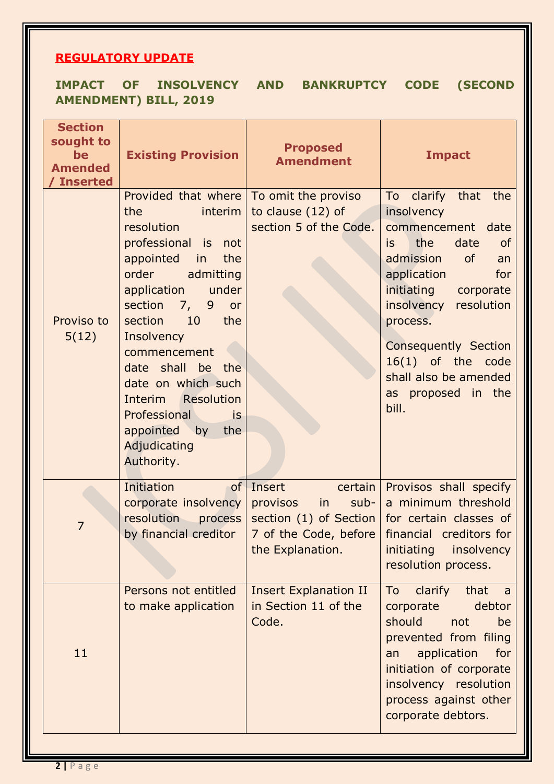## **REGULATORY UPDATE**

|  |                              | IMPACT OF INSOLVENCY AND BANKRUPTCY CODE (SECOND |  |
|--|------------------------------|--------------------------------------------------|--|
|  | <b>AMENDMENT) BILL, 2019</b> |                                                  |  |

| <b>Section</b><br>sought to<br>be<br><b>Amended</b><br><b>Inserted</b> | <b>Existing Provision</b>                                                                                                                                                                                         | <b>Proposed</b><br><b>Amendment</b>                                                                  | <b>Impact</b>                                                                                                                                                                                                                                |
|------------------------------------------------------------------------|-------------------------------------------------------------------------------------------------------------------------------------------------------------------------------------------------------------------|------------------------------------------------------------------------------------------------------|----------------------------------------------------------------------------------------------------------------------------------------------------------------------------------------------------------------------------------------------|
| Proviso to<br>5(12)                                                    | Provided that where<br>the<br>interim<br>resolution<br>professional is not<br>appointed<br>in<br>the<br>order<br>admitting<br>application<br>under<br>section 7,<br>9<br>or<br>10<br>section<br>the<br>Insolvency | To omit the proviso<br>to clause (12) of<br>section 5 of the Code.                                   | To clarify that the<br>insolvency<br>commencement<br>date<br>the<br>date<br><b>of</b><br>is<br>admission<br>of<br>an<br>application<br>for<br>initiating<br>corporate<br>insolvency<br>resolution<br>process.<br><b>Consequently Section</b> |
|                                                                        | commencement<br>date shall be the<br>date on which such<br>Interim Resolution<br>Professional<br><b>is</b><br>appointed by<br>the<br>Adjudicating<br>Authority.                                                   |                                                                                                      | 16(1) of the code<br>shall also be amended<br>as proposed in the<br>bill.                                                                                                                                                                    |
| $\overline{7}$                                                         | Initiation<br>of<br>corporate insolvency<br>resolution<br>process<br>by financial creditor                                                                                                                        | Insert<br>certain<br>sub-<br>provisos<br>$\mathsf{in}$<br>section (1) of Section<br>the Explanation. | Provisos shall specify<br>a minimum threshold<br>for certain classes of<br>7 of the Code, before   financial creditors for<br>initiating insolvency<br>resolution process.                                                                   |
| 11                                                                     | Persons not entitled<br>to make application                                                                                                                                                                       | <b>Insert Explanation II</b><br>in Section 11 of the<br>Code.                                        | clarify<br>To<br>that<br>a a<br>corporate<br>debtor<br>should<br>not<br>be<br>prevented from filing<br>application<br>for<br>an<br>initiation of corporate<br>insolvency resolution<br>process against other<br>corporate debtors.           |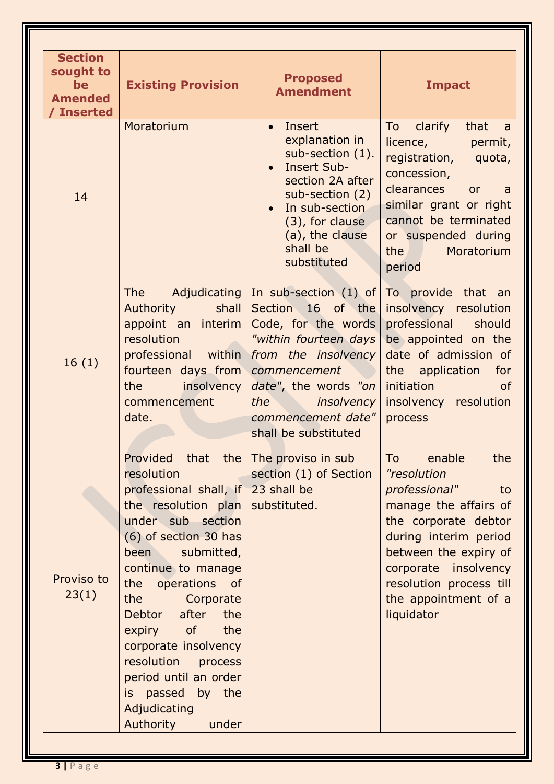| <b>Section</b><br>sought to<br>be<br><b>Amended</b><br><b>Inserted</b> | <b>Existing Provision</b>                                                                                                                                                                                                                                                                                                                                                                                     | <b>Proposed</b><br><b>Amendment</b>                                                                                                                                                                                                                 | <b>Impact</b>                                                                                                                                                                                                                                                                                                                  |
|------------------------------------------------------------------------|---------------------------------------------------------------------------------------------------------------------------------------------------------------------------------------------------------------------------------------------------------------------------------------------------------------------------------------------------------------------------------------------------------------|-----------------------------------------------------------------------------------------------------------------------------------------------------------------------------------------------------------------------------------------------------|--------------------------------------------------------------------------------------------------------------------------------------------------------------------------------------------------------------------------------------------------------------------------------------------------------------------------------|
| 14                                                                     | Moratorium                                                                                                                                                                                                                                                                                                                                                                                                    | Insert<br>$\bullet$<br>explanation in<br>sub-section (1).<br>• Insert Sub-<br>section 2A after<br>sub-section (2)<br>• In sub-section<br>(3), for clause<br>(a), the clause<br>shall be<br>substituted                                              | To clarify<br>that<br>a<br>licence, permit,<br>registration, quota,<br>concession,<br>clearances or<br>- a<br>similar grant or right<br>cannot be terminated<br>or suspended during<br>Moratorium<br>the the state of the state of the state of the state of the state of the state of the state of the state of the<br>period |
| 16(1)                                                                  | <b>The</b><br>Authority shall<br>appoint an interim<br>resolution<br>professional within<br>fourteen days from<br>the insolvency<br>commencement<br>date.                                                                                                                                                                                                                                                     | Adjudicating $ $ In sub-section $(1)$ of<br>Section 16 of the<br>Code, for the words<br>"within fourteen days<br>from the insolvency<br>commencement<br>date", the words "on<br>the <i>insolvency</i><br>commencement date"<br>shall be substituted | To provide that an<br>insolvency resolution<br>professional should<br>be appointed on the<br>date of admission of<br>the application<br>for<br><b>initiation</b><br><b>of</b><br>insolvency resolution<br>process                                                                                                              |
| Proviso to<br>23(1)                                                    | Provided that<br>the  <br>resolution<br>professional shall, if 23 shall be<br>the resolution plan<br>under sub section<br>(6) of section 30 has<br>been submitted,<br>continue to manage<br>the operations of<br>the<br>Corporate<br>Debtor after the<br>expiry of<br>the<br>corporate insolvency<br>resolution<br>process<br>period until an order<br>is passed by the<br>Adjudicating<br>Authority<br>under | The proviso in sub<br>section (1) of Section<br>substituted.                                                                                                                                                                                        | enable<br>the<br>To<br>"resolution<br>professional"<br>to<br>manage the affairs of<br>the corporate debtor<br>during interim period<br>between the expiry of<br>corporate insolvency<br>resolution process till<br>the appointment of a<br>liquidator                                                                          |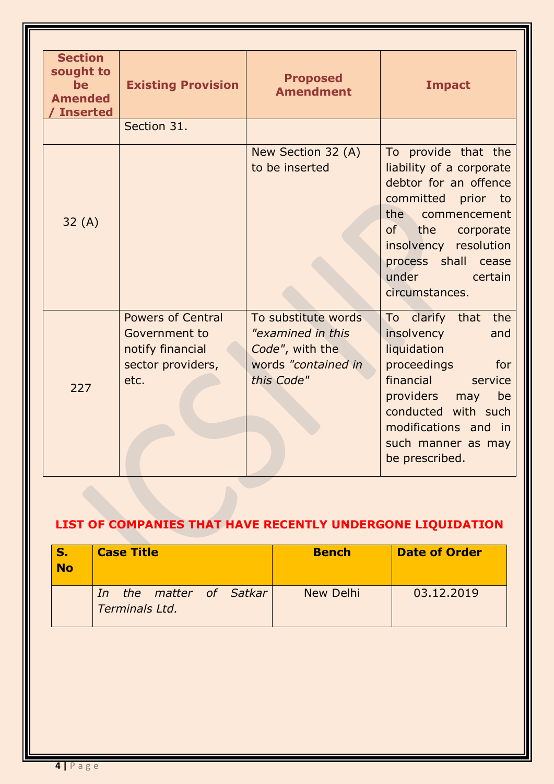| <b>Section</b><br>sought to<br><b>be</b><br><b>Amended</b><br><b>Inserted</b> | <b>Existing Provision</b>                                                                  | <b>Proposed</b><br><b>Amendment</b>                                                              | <b>Impact</b>                                                                                                                                                                                                                      |
|-------------------------------------------------------------------------------|--------------------------------------------------------------------------------------------|--------------------------------------------------------------------------------------------------|------------------------------------------------------------------------------------------------------------------------------------------------------------------------------------------------------------------------------------|
|                                                                               | Section 31.                                                                                |                                                                                                  |                                                                                                                                                                                                                                    |
| 32(A)                                                                         |                                                                                            | New Section 32 (A)<br>to be inserted                                                             | To provide that the<br>liability of a corporate<br>debtor for an offence<br>committed prior to<br>the commencement<br>of<br>the<br>corporate<br>insolvency resolution<br>process shall cease<br>under<br>certain<br>circumstances. |
| 227                                                                           | <b>Powers of Central</b><br>Government to<br>notify financial<br>sector providers,<br>etc. | To substitute words<br>"examined in this<br>Code", with the<br>words "contained in<br>this Code" | To clarify that the<br>insolvency<br>and<br>liquidation<br>proceedings<br>for<br>financial<br>service<br>providers may<br>be<br>conducted with such<br>modifications and in<br>such manner as may<br>be prescribed.                |

## **LIST OF COMPANIES THAT HAVE RECENTLY UNDERGONE LIQUIDATION**

| S.<br><b>No</b> | <b>Case Title</b>                            | <b>Bench</b> | <b>Date of Order</b> |
|-----------------|----------------------------------------------|--------------|----------------------|
|                 | the matter of Satkar<br>In<br>Terminals Ltd. | New Delhi    | 03.12.2019           |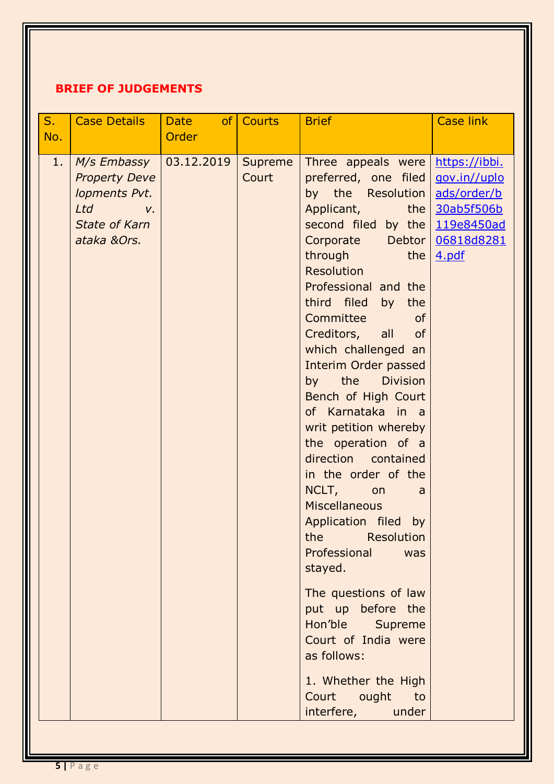## **BRIEF OF JUDGEMENTS**

| S <sub>1</sub><br>No. | <b>Case Details</b>                                                                                   | <b>Date</b><br>Order | of Courts        | <b>Brief</b>                                                                                                                                                                                                                                                                                                                                                                                                                                                                                                                                                                                                                                                                                                                                                                                                                        | <b>Case link</b>                                                       |
|-----------------------|-------------------------------------------------------------------------------------------------------|----------------------|------------------|-------------------------------------------------------------------------------------------------------------------------------------------------------------------------------------------------------------------------------------------------------------------------------------------------------------------------------------------------------------------------------------------------------------------------------------------------------------------------------------------------------------------------------------------------------------------------------------------------------------------------------------------------------------------------------------------------------------------------------------------------------------------------------------------------------------------------------------|------------------------------------------------------------------------|
| 1.                    | M/s Embassy<br><b>Property Deve</b><br>lopments Pvt.<br>Ltd v.<br><b>State of Karn</b><br>ataka &Ors. | $ 03.12.2019\rangle$ | Supreme<br>Court | Three appeals were https://ibbi.<br>preferred, one filed<br>by the Resolution<br>Applicant,<br>second filed by the $119e8450ad$<br>Corporate Debtor<br><b>through</b><br>the<br>Resolution<br>Professional and the<br>third filed<br>by<br>the<br><b>Committee</b><br><b>of</b><br>Creditors, all<br>of<br>which challenged an<br>Interim Order passed<br>the<br><b>Division</b><br>by<br>Bench of High Court<br>of Karnataka in a<br>writ petition whereby<br>the operation of a<br>direction contained<br>in the order of the<br>NCLT,<br>on<br>a<br><b>Miscellaneous</b><br>Application filed<br>by<br>Resolution<br>the<br>Professional<br>was<br>stayed.<br>The questions of law<br>put up before the<br>Hon'ble Supreme<br>Court of India were<br>as follows:<br>1. Whether the High<br>Court ought<br>to<br>interfere, under | gov.in//uplo<br>ads/order/b<br>the $30ab5f506b$<br>06818d8281<br>4.pdf |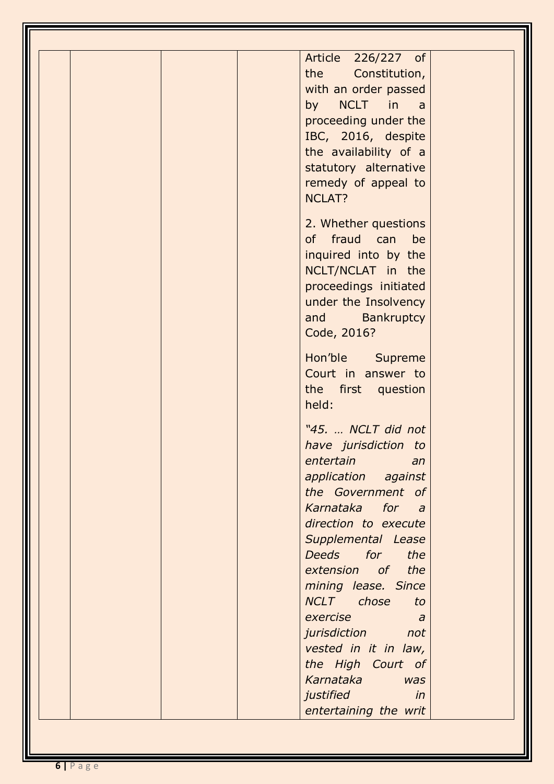| Article 226/227 of<br>the<br>Constitution,<br>with an order passed<br>by NCLT in<br>a a<br>proceeding under the<br>IBC, 2016, despite<br>the availability of a<br>statutory alternative<br>remedy of appeal to<br><b>NCLAT?</b><br>2. Whether questions<br>of fraud can<br>be<br>inquired into by the<br>NCLT/NCLAT in the<br>proceedings initiated<br>under the Insolvency<br>Bankruptcy<br>and<br>Code, 2016?<br>Hon'ble Supreme<br>Court in answer to<br>the first question<br>held:<br>"45.  NCLT did not<br>have jurisdiction to<br>entertain<br>an<br>application against<br>the Government of<br>Karnataka for<br>$\overline{a}$<br>direction to execute<br>Supplemental Lease<br>Deeds for<br>the<br>extension of<br>the<br>mining lease. Since<br>NCLT chose<br>to<br>exercise<br>a<br>jurisdiction<br>not<br>vested in it in law,<br>the High Court of<br>Karnataka<br><b>was</b><br>justified<br>in |  |
|----------------------------------------------------------------------------------------------------------------------------------------------------------------------------------------------------------------------------------------------------------------------------------------------------------------------------------------------------------------------------------------------------------------------------------------------------------------------------------------------------------------------------------------------------------------------------------------------------------------------------------------------------------------------------------------------------------------------------------------------------------------------------------------------------------------------------------------------------------------------------------------------------------------|--|
|                                                                                                                                                                                                                                                                                                                                                                                                                                                                                                                                                                                                                                                                                                                                                                                                                                                                                                                |  |
|                                                                                                                                                                                                                                                                                                                                                                                                                                                                                                                                                                                                                                                                                                                                                                                                                                                                                                                |  |
|                                                                                                                                                                                                                                                                                                                                                                                                                                                                                                                                                                                                                                                                                                                                                                                                                                                                                                                |  |
| entertaining the writ                                                                                                                                                                                                                                                                                                                                                                                                                                                                                                                                                                                                                                                                                                                                                                                                                                                                                          |  |

11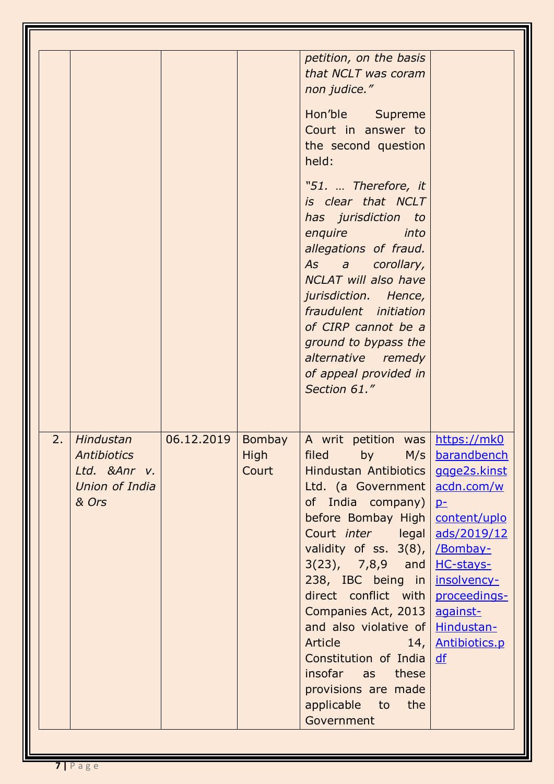|                                                                                   |            |                                | petition, on the basis<br>that NCLT was coram<br>non judice."<br>Hon'ble Supreme<br>Court in answer to<br>the second question<br>held:<br>"51.  Therefore, it<br>is clear that NCLT<br>has jurisdiction to<br>enquire<br>into<br>allegations of fraud.<br>As a corollary,<br><b>NCLAT</b> will also have<br>jurisdiction. Hence,<br>fraudulent initiation<br>of CIRP cannot be a<br>ground to bypass the<br>alternative remedy<br>of appeal provided in<br>Section 61."                                |                                                                                                                                                                 |
|-----------------------------------------------------------------------------------|------------|--------------------------------|--------------------------------------------------------------------------------------------------------------------------------------------------------------------------------------------------------------------------------------------------------------------------------------------------------------------------------------------------------------------------------------------------------------------------------------------------------------------------------------------------------|-----------------------------------------------------------------------------------------------------------------------------------------------------------------|
| 2.<br>Hindustan<br><b>Antibiotics</b><br>Ltd. & Anr v.<br>Union of India<br>& Ors | 06.12.2019 | Bombay<br><b>High</b><br>Court | A writ petition was https://mk0<br>filed<br>M/s<br>by<br>Hindustan Antibiotics<br>Ltd. (a Government  <br>of India company)<br>before Bombay High<br>Court <i>inter</i> legal<br>validity of ss. 3(8), <i>Bombay-</i><br>$3(23)$ , $7,8,9$ and<br>238, IBC being in<br>direct conflict with<br>Companies Act, 2013<br>and also violative of   Hindustan-<br><b>Article Article</b><br>14,<br>Constitution of India<br>insofar as<br>these<br>provisions are made<br>applicable to<br>the<br>Government | barandbench<br>ggge2s.kinst<br>acdn.com/w<br>$p-$<br>content/uplo<br>ads/2019/12<br>HC-stays-<br>insolvency-<br>proceedings-<br>against-<br>Antibiotics.p<br>df |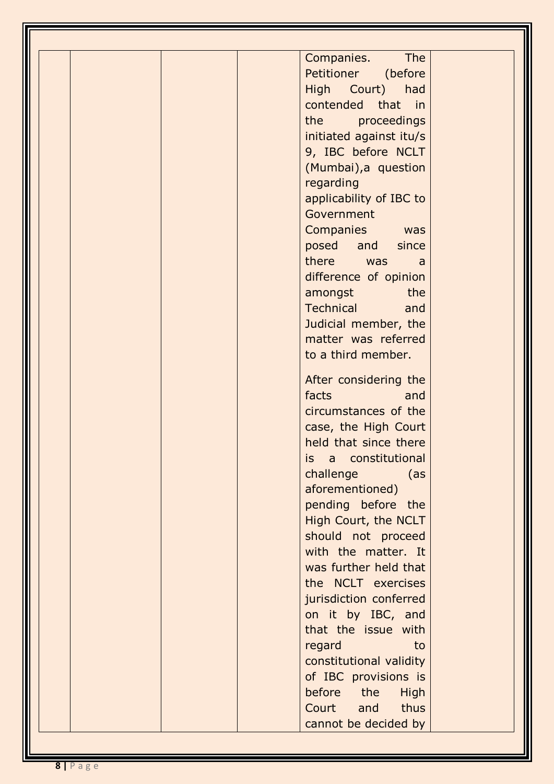1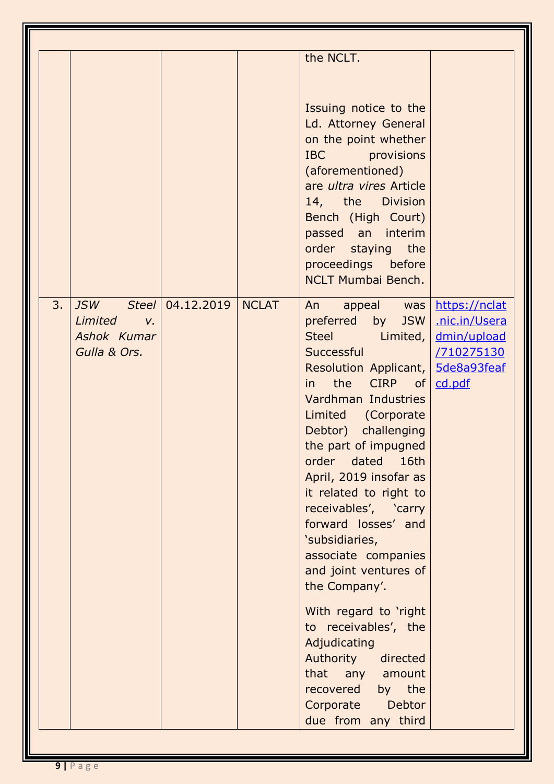|    |                                                                                     |            |              | the NCLT.                                                                                                                                                                                                                                                                                                                                                                                                                                                                                                                                                                                                                                |                                                                       |
|----|-------------------------------------------------------------------------------------|------------|--------------|------------------------------------------------------------------------------------------------------------------------------------------------------------------------------------------------------------------------------------------------------------------------------------------------------------------------------------------------------------------------------------------------------------------------------------------------------------------------------------------------------------------------------------------------------------------------------------------------------------------------------------------|-----------------------------------------------------------------------|
|    |                                                                                     |            |              | Issuing notice to the<br>Ld. Attorney General<br>on the point whether<br>IBC provisions<br>(aforementioned)<br>are ultra vires Article<br>14, the Division<br>Bench (High Court)<br>passed an interim<br>order staying the<br>proceedings before<br><b>NCLT Mumbai Bench.</b>                                                                                                                                                                                                                                                                                                                                                            |                                                                       |
| 3. | <b>JSW</b><br>Steel<br><b>Limited</b><br>$V_{\rm c}$<br>Ashok Kumar<br>Gulla & Ors. | 04.12.2019 | <b>NCLAT</b> | appeal was<br>An<br>preferred by<br>JSW<br>Steel Limited,<br>Successful<br>Resolution Applicant,   5de8a93feaf<br>the CIRP of<br>$\mathsf{in}$<br>Vardhman Industries<br>Limited (Corporate<br>Debtor) challenging<br>the part of impugned<br>order dated<br>16th<br>April, 2019 insofar as<br>it related to right to<br>receivables', 'carry<br>forward losses' and<br>'subsidiaries,<br>associate companies<br>and joint ventures of<br>the Company'.<br>With regard to 'right<br>to receivables', the<br>Adjudicating<br>Authority<br>directed<br>any amount<br>that<br>recovered by the<br>Debtor<br>Corporate<br>due from any third | https://nclat<br>.nic.in/Usera<br>dmin/upload<br>/710275130<br>cd.pdf |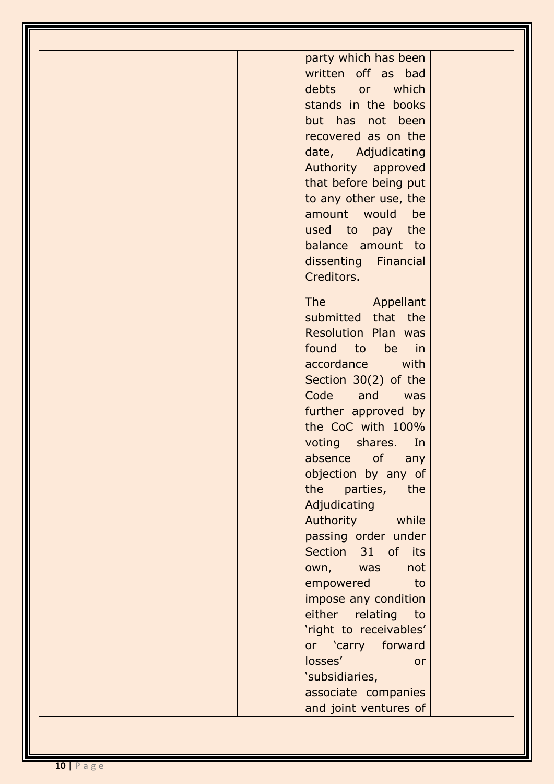| party which has been           |  |
|--------------------------------|--|
| written off as bad             |  |
| debts or which                 |  |
| stands in the books            |  |
| but has not been               |  |
| recovered as on the            |  |
| date, Adjudicating             |  |
| Authority approved             |  |
| that before being put          |  |
| to any other use, the          |  |
| amount would<br>be             |  |
| used to pay the                |  |
| balance amount to              |  |
| dissenting Financial           |  |
| Creditors.                     |  |
| The Appellant                  |  |
| submitted that the             |  |
| <b>Resolution Plan was</b>     |  |
| found to<br>be in              |  |
| accordance with                |  |
| Section 30(2) of the           |  |
| Code and was                   |  |
| further approved by            |  |
| the CoC with 100%              |  |
| voting shares.<br>In           |  |
| absence of<br>any              |  |
| objection by any of            |  |
| the parties,<br>the            |  |
| Adjudicating                   |  |
| Authority while                |  |
| passing order under            |  |
| Section 31 of its              |  |
| own, was<br>not                |  |
| empowered<br><b>example</b> to |  |
| impose any condition           |  |
| either relating to             |  |
| 'right to receivables'         |  |
| or 'carry forward              |  |
| losses'<br><b>or</b>           |  |
| 'subsidiaries,                 |  |
| associate companies            |  |
| and joint ventures of          |  |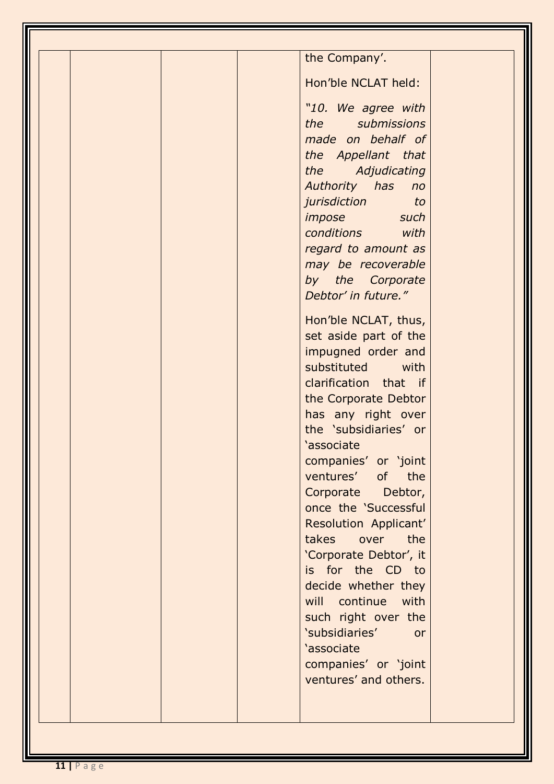| the Company'.                                                                                                                                                                                                                                                                                                                                                                                                                                                                                                                                                                                                                                                                                                                                                                                  |
|------------------------------------------------------------------------------------------------------------------------------------------------------------------------------------------------------------------------------------------------------------------------------------------------------------------------------------------------------------------------------------------------------------------------------------------------------------------------------------------------------------------------------------------------------------------------------------------------------------------------------------------------------------------------------------------------------------------------------------------------------------------------------------------------|
| Hon'ble NCLAT held:                                                                                                                                                                                                                                                                                                                                                                                                                                                                                                                                                                                                                                                                                                                                                                            |
| "10. We agree with<br>the submissions<br>made on behalf of<br>the Appellant that<br>the Adjudicating<br>Authority has no<br>jurisdiction<br><b>to</b><br>impose such<br>conditions with<br>regard to amount as<br>may be recoverable<br>by the Corporate<br>Debtor' in future."<br>Hon'ble NCLAT, thus,<br>set aside part of the<br>impugned order and<br>substituted<br>with<br>clarification that if<br>the Corporate Debtor<br>has any right over<br>the 'subsidiaries' or<br>'associate<br>companies' or 'joint<br>ventures' of the<br>Corporate Debtor,<br>once the 'Successful<br>Resolution Applicant'<br>takes over the<br>'Corporate Debtor', it<br>is for the CD to<br>decide whether they<br>will continue with<br>such right over the<br>'subsidiaries'<br><b>or</b><br>'associate |
| companies' or 'joint<br>ventures' and others.                                                                                                                                                                                                                                                                                                                                                                                                                                                                                                                                                                                                                                                                                                                                                  |
|                                                                                                                                                                                                                                                                                                                                                                                                                                                                                                                                                                                                                                                                                                                                                                                                |
|                                                                                                                                                                                                                                                                                                                                                                                                                                                                                                                                                                                                                                                                                                                                                                                                |
|                                                                                                                                                                                                                                                                                                                                                                                                                                                                                                                                                                                                                                                                                                                                                                                                |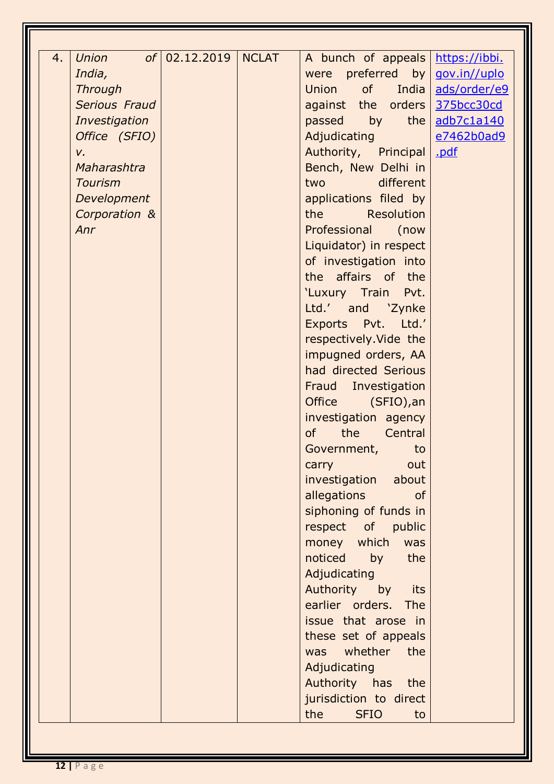| 4. | Union          | of   02.12.2019 | NCLAT | A bunch of appeals                                                                                                            | https://ibbi. |
|----|----------------|-----------------|-------|-------------------------------------------------------------------------------------------------------------------------------|---------------|
|    | India,         |                 |       | preferred by<br>were                                                                                                          | gov.in//uplo  |
|    | <b>Through</b> |                 |       | of<br>Union<br>India                                                                                                          | ads/order/e9  |
|    | Serious Fraud  |                 |       | against the orders                                                                                                            | 375bcc30cd    |
|    | Investigation  |                 |       | by the<br>passed                                                                                                              | adb7c1a140    |
|    | Office (SFIO)  |                 |       | Adjudicating                                                                                                                  | e7462b0ad9    |
|    | $V_{\star}$    |                 |       | Authority, Principal                                                                                                          | .pdf          |
|    | Maharashtra    |                 |       | Bench, New Delhi in                                                                                                           |               |
|    | <b>Tourism</b> |                 |       | different<br>two                                                                                                              |               |
|    | Development    |                 |       | applications filed by                                                                                                         |               |
|    | Corporation &  |                 |       | the the state of the state of the state of the state of the state of the state of the state of the state of the<br>Resolution |               |
|    | Anr            |                 |       | Professional<br>(now                                                                                                          |               |
|    |                |                 |       | Liquidator) in respect                                                                                                        |               |
|    |                |                 |       | of investigation into                                                                                                         |               |
|    |                |                 |       | the affairs of the                                                                                                            |               |
|    |                |                 |       | 'Luxury Train Pvt.                                                                                                            |               |
|    |                |                 |       | Ltd.' and 'Zynke                                                                                                              |               |
|    |                |                 |       |                                                                                                                               |               |
|    |                |                 |       | Exports Pvt. Ltd.'                                                                                                            |               |
|    |                |                 |       | respectively. Vide the                                                                                                        |               |
|    |                |                 |       | impugned orders, AA                                                                                                           |               |
|    |                |                 |       | had directed Serious                                                                                                          |               |
|    |                |                 |       | Fraud Investigation                                                                                                           |               |
|    |                |                 |       | <b>Office</b><br>(SFIO), an                                                                                                   |               |
|    |                |                 |       | investigation agency                                                                                                          |               |
|    |                |                 |       | <b>of</b><br>the Central                                                                                                      |               |
|    |                |                 |       | Government,<br>to                                                                                                             |               |
|    |                |                 |       | out<br>carry                                                                                                                  |               |
|    |                |                 |       | investigation<br>about                                                                                                        |               |
|    |                |                 |       | allegations<br><b>of</b>                                                                                                      |               |
|    |                |                 |       | siphoning of funds in                                                                                                         |               |
|    |                |                 |       | respect of public                                                                                                             |               |
|    |                |                 |       | money which was                                                                                                               |               |
|    |                |                 |       | noticed<br>by<br>the                                                                                                          |               |
|    |                |                 |       | Adjudicating                                                                                                                  |               |
|    |                |                 |       | Authority by its                                                                                                              |               |
|    |                |                 |       | earlier orders. The                                                                                                           |               |
|    |                |                 |       | issue that arose in                                                                                                           |               |
|    |                |                 |       | these set of appeals                                                                                                          |               |
|    |                |                 |       | was whether the                                                                                                               |               |
|    |                |                 |       | Adjudicating                                                                                                                  |               |
|    |                |                 |       | Authority has the                                                                                                             |               |
|    |                |                 |       | jurisdiction to direct                                                                                                        |               |
|    |                |                 |       | the<br><b>SFIO</b><br>to                                                                                                      |               |
|    |                |                 |       |                                                                                                                               |               |